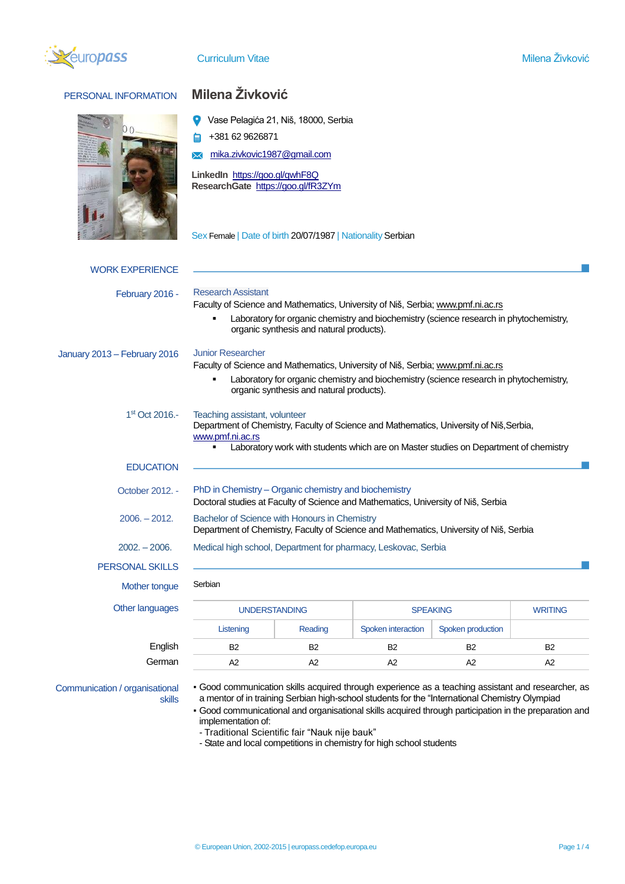

PERSONAL INFORMATION **Milena Živković**

|                              |                                                                                                                                                                                                                                      | Vase Pelagića 21, Niš, 18000, Serbia |                    |                   |                |  |
|------------------------------|--------------------------------------------------------------------------------------------------------------------------------------------------------------------------------------------------------------------------------------|--------------------------------------|--------------------|-------------------|----------------|--|
|                              | +381 62 9626871                                                                                                                                                                                                                      |                                      |                    |                   |                |  |
|                              | mika.zivkovic1987@gmail.com                                                                                                                                                                                                          |                                      |                    |                   |                |  |
|                              | LinkedIn https://goo.gl/qwhF8Q<br>ResearchGate https://goo.gl/fR3ZYm                                                                                                                                                                 |                                      |                    |                   |                |  |
|                              | Sex Female   Date of birth 20/07/1987   Nationality Serbian                                                                                                                                                                          |                                      |                    |                   |                |  |
| <b>WORK EXPERIENCE</b>       |                                                                                                                                                                                                                                      |                                      |                    |                   |                |  |
| February 2016 -              | <b>Research Assistant</b>                                                                                                                                                                                                            |                                      |                    |                   |                |  |
|                              | Faculty of Science and Mathematics, University of Niš, Serbia; www.pmf.ni.ac.rs                                                                                                                                                      |                                      |                    |                   |                |  |
|                              | Laboratory for organic chemistry and biochemistry (science research in phytochemistry,<br>organic synthesis and natural products).                                                                                                   |                                      |                    |                   |                |  |
| January 2013 - February 2016 | <b>Junior Researcher</b>                                                                                                                                                                                                             |                                      |                    |                   |                |  |
|                              | Faculty of Science and Mathematics, University of Niš, Serbia; www.pmf.ni.ac.rs                                                                                                                                                      |                                      |                    |                   |                |  |
|                              | Laboratory for organic chemistry and biochemistry (science research in phytochemistry,<br>organic synthesis and natural products).                                                                                                   |                                      |                    |                   |                |  |
| 1 <sup>st</sup> Oct 2016.-   | Teaching assistant, volunteer<br>Department of Chemistry, Faculty of Science and Mathematics, University of Niš, Serbia,<br>www.pmf.ni.ac.rs<br>Laboratory work with students which are on Master studies on Department of chemistry |                                      |                    |                   |                |  |
| <b>EDUCATION</b>             |                                                                                                                                                                                                                                      |                                      |                    |                   |                |  |
| October 2012. -              | PhD in Chemistry - Organic chemistry and biochemistry<br>Doctoral studies at Faculty of Science and Mathematics, University of Niš, Serbia                                                                                           |                                      |                    |                   |                |  |
| $2006. - 2012.$              | Bachelor of Science with Honours in Chemistry<br>Department of Chemistry, Faculty of Science and Mathematics, University of Niš, Serbia                                                                                              |                                      |                    |                   |                |  |
| 2002. – 2006.                | Medical high school, Department for pharmacy, Leskovac, Serbia                                                                                                                                                                       |                                      |                    |                   |                |  |
| <b>PERSONAL SKILLS</b>       |                                                                                                                                                                                                                                      |                                      |                    |                   |                |  |
| Mother tongue                | Serbian                                                                                                                                                                                                                              |                                      |                    |                   |                |  |
| Other languages              | <b>UNDERSTANDING</b>                                                                                                                                                                                                                 |                                      | <b>SPEAKING</b>    |                   | <b>WRITING</b> |  |
|                              | Listening                                                                                                                                                                                                                            | Reading                              | Spoken interaction | Spoken production |                |  |
| English                      | B <sub>2</sub>                                                                                                                                                                                                                       | B2                                   | <b>B2</b>          | B2                | <b>B2</b>      |  |
| German                       |                                                                                                                                                                                                                                      |                                      |                    |                   |                |  |

Communication / organisational skills

- Good communication skills acquired through experience as a teaching assistant and researcher, as a mentor of in training Serbian high-school students for the "International Chemistry Olympiad
- Good communicational and organisational skills acquired through participation in the preparation and implementation of:
	- Traditional Scientific fair "Nauk nije bauk"
	- State and local competitions in chemistry for high school students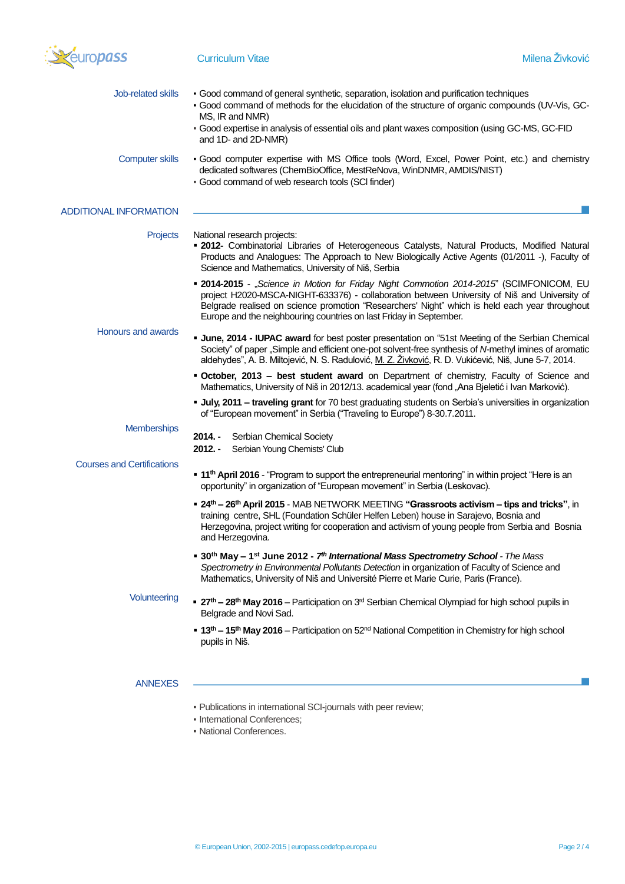

| <b>Job-related skills</b>         | • Good command of general synthetic, separation, isolation and purification techniques<br>- Good command of methods for the elucidation of the structure of organic compounds (UV-Vis, GC-<br>MS, IR and NMR)                                                                                                                                                          |  |  |  |  |
|-----------------------------------|------------------------------------------------------------------------------------------------------------------------------------------------------------------------------------------------------------------------------------------------------------------------------------------------------------------------------------------------------------------------|--|--|--|--|
|                                   | - Good expertise in analysis of essential oils and plant waxes composition (using GC-MS, GC-FID<br>and 1D- and 2D-NMR)                                                                                                                                                                                                                                                 |  |  |  |  |
| <b>Computer skills</b>            | · Good computer expertise with MS Office tools (Word, Excel, Power Point, etc.) and chemistry<br>dedicated softwares (ChemBioOffice, MestReNova, WinDNMR, AMDIS/NIST)<br>- Good command of web research tools (SCI finder)                                                                                                                                             |  |  |  |  |
| <b>ADDITIONAL INFORMATION</b>     |                                                                                                                                                                                                                                                                                                                                                                        |  |  |  |  |
| Projects                          | National research projects:<br><b>- 2012-</b> Combinatorial Libraries of Heterogeneous Catalysts, Natural Products, Modified Natural<br>Products and Analogues: The Approach to New Biologically Active Agents (01/2011 -), Faculty of<br>Science and Mathematics, University of Niš, Serbia                                                                           |  |  |  |  |
|                                   | <b>• 2014-2015</b> - "Science in Motion for Friday Night Commotion 2014-2015" (SCIMFONICOM, EU<br>project H2020-MSCA-NIGHT-633376) - collaboration between University of Niš and University of<br>Belgrade realised on science promotion "Researchers' Night" which is held each year throughout<br>Europe and the neighbouring countries on last Friday in September. |  |  |  |  |
| <b>Honours and awards</b>         | <b>June, 2014 - IUPAC award</b> for best poster presentation on "51st Meeting of the Serbian Chemical<br>Society" of paper "Simple and efficient one-pot solvent-free synthesis of N-methyl imines of aromatic<br>aldehydes", A. B. Miltojević, N. S. Radulović, M. Z. Živković, R. D. Vukićević, Niš, June 5-7, 2014.                                                 |  |  |  |  |
|                                   | • October, 2013 - best student award on Department of chemistry, Faculty of Science and<br>Mathematics, University of Niš in 2012/13. academical year (fond "Ana Bjeletić i Ivan Marković).                                                                                                                                                                            |  |  |  |  |
|                                   | <b>July, 2011 - traveling grant</b> for 70 best graduating students on Serbia's universities in organization<br>of "European movement" in Serbia ("Traveling to Europe") 8-30.7.2011.                                                                                                                                                                                  |  |  |  |  |
| <b>Memberships</b>                | $2014. -$<br>Serbian Chemical Society<br>$2012. -$<br>Serbian Young Chemists' Club                                                                                                                                                                                                                                                                                     |  |  |  |  |
| <b>Courses and Certifications</b> | " 11 <sup>th</sup> April 2016 - "Program to support the entrepreneurial mentoring" in within project "Here is an<br>opportunity" in organization of "European movement" in Serbia (Leskovac).                                                                                                                                                                          |  |  |  |  |
|                                   | • 24 <sup>th</sup> – 26 <sup>th</sup> April 2015 - MAB NETWORK MEETING "Grassroots activism – tips and tricks", in<br>training centre, SHL (Foundation Schüler Helfen Leben) house in Sarajevo, Bosnia and<br>Herzegovina, project writing for cooperation and activism of young people from Serbia and Bosnia<br>and Herzegovina.                                     |  |  |  |  |
|                                   | <b>• 30<sup>th</sup> May – 1<sup>st</sup> June 2012 - 7<sup>th</sup> International Mass Spectrometry School</b> - The Mass<br>Spectrometry in Environmental Pollutants Detection in organization of Faculty of Science and<br>Mathematics, University of Niš and Université Pierre et Marie Curie, Paris (France).                                                     |  |  |  |  |
| Volunteering                      | • 27 <sup>th</sup> - 28 <sup>th</sup> May 2016 - Participation on 3 <sup>rd</sup> Serbian Chemical Olympiad for high school pupils in<br>Belgrade and Novi Sad.                                                                                                                                                                                                        |  |  |  |  |
|                                   | <b>• 13<sup>th</sup> – 15<sup>th</sup> May 2016</b> – Participation on 52 <sup>nd</sup> National Competition in Chemistry for high school<br>pupils in Niš.                                                                                                                                                                                                            |  |  |  |  |
| <b>ANNEXES</b>                    |                                                                                                                                                                                                                                                                                                                                                                        |  |  |  |  |
|                                   | - Publications in international SCI-journals with peer review;<br>• International Conferences;<br>• National Conferences.                                                                                                                                                                                                                                              |  |  |  |  |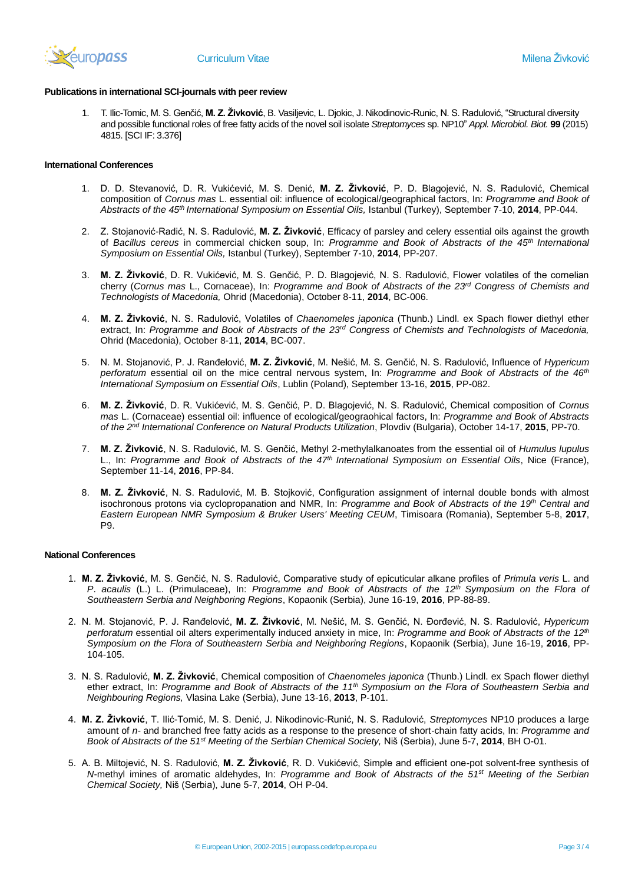

## **Publications in international SCI-journals with peer review**

1. T. Ilic-Tomic, М. S. Genčić, **M. Z. Živković**, B. Vasiljevic, L. Djokic, J. Nikodinovic-Runic, N. S. Radulović, "Structural diversity and possible functional roles of free fatty acids of the novel soil isolate *Streptomyces* sp. NP10" *Appl. Microbiol. Biot.* **99** (2015) 4815. [SCI IF: 3.376]

## **International Conferences**

- 1. D. D. Stevanović, D. R. Vukićević, M. S. Denić, **М. Z. Živković**, P. D. Blagojević, N. S. Radulović, Chemical composition of *Cornus mas* L. essential oil: influence of ecological/geographical factors, In: *Programme and Book of Abstracts of the 45th International Symposium on Essential Oils,* Istanbul (Turkey), September 7-10, **2014**, PP-044.
- 2. Z. Stojanović-Radić, N. S. Radulović, **M. Z. Živković**, Efficacy of parsley and celery essential oils against the growth of *Bacillus cereus* in commercial chicken soup, In: *Programme and Book of Abstracts of the 45th International Symposium on Essential Oils,* Istanbul (Turkey), September 7-10, **2014**, PP-207.
- 3. **М. Z. Živković**, D. R. Vukićević, M. S. Genčić, P. D. Blagojević, N. S. Radulović, Flower volatiles of the cornelian cherry (*Cornus mas* L., Cornaceae), In: *Programme and Book of Abstracts of the 23rd Congress of Chemists and Technologists of Macedonia,* Ohrid (Macedonia), October 8-11, **2014**, BC-006.
- 4. **М. Z. Živković**, N. S. Radulović, Volatiles of *Chaenomeles japonica* (Thunb.) Lindl. ex Spach flower diethyl ether extract, In: *Programme and Book of Abstracts of the 23rd Congress of Chemists and Technologists of Macedonia,*  Ohrid (Macedonia), October 8-11, **2014**, BC-007.
- 5. N. M. Stojanović, P. J. Ranđelović, **M. Z. Živković**, M. Nešić, M. S. Genčić, N. S. Radulović, Influence of *Hypericum perforatum* essential oil on the mice central nervous system, In: *Programme and Book of Abstracts of the 46th International Symposium on Essential Oils*, Lublin (Poland), September 13-16, **2015**, PP-082.
- 6. **M. Z. Živković**, D. R. Vukićević, M. S. Genčić, P. D. Blagojević, N. S. Radulović, Chemical composition of *Cornus mas* L. (Cornaceae) essential oil: influence of ecological/geograohical factors, In: *Programme and Book of Abstracts of the 2nd International Conference on Natural Products Utilization*, Plovdiv (Bulgaria), October 14-17, **2015**, PP-70.
- 7. **M. Z. Živković**, N. S. Radulović, M. S. Genčić, Methyl 2-methylalkanoates from the essential oil of *Humulus lupulus* L., In: *Programme and Book of Abstracts of the 47th International Symposium on Essential Oils*, Nice (France), September 11-14, **2016**, PP-84.
- 8. **M. Z. Živković**, N. S. Radulović, M. B. Stojković, Configuration assignment of internal double bonds with almost isochronous protons via cyclopropanation and NMR, In: *Programme and Book of Abstracts of the 19th Central and Eastern European NMR Symposium & Bruker Users' Meeting CEUM*, Timisoara (Romania), September 5-8, **2017**, P9.

## **National Conferences**

- 1. **M. Z. Živković**, M. S. Genčić, N. S. Radulović, Comparative study of epicuticular alkane profiles of *Primula veris* L. and *P*. *acaulis* (L.) L. (Primulaceae), In: *Programme and Book of Abstracts of the 12th Symposium on the Flora of Southeastern Serbia and Neighboring Regions*, Kopaonik (Serbia), June 16-19, **2016**, PP-88-89.
- 2. N. M. Stojanović, P. J. Ranđelović, **M. Z. Živković**, M. Nešić, M. S. Genčić, N. Đorđević, N. S. Radulović, *Hypericum perforatum* essential oil alters experimentally induced anxiety in mice, In: *Programme and Book of Abstracts of the 12th Symposium on the Flora of Southeastern Serbia and Neighboring Regions*, Kopaonik (Serbia), June 16-19, **2016**, PP-104-105.
- 3. N. S. Radulović, **М. Z. Živković**, Chemical composition of *Chaenomeles japonica* (Thunb.) Lindl. ex Spach flower diethyl ether extract, In: *Programme and Book of Abstracts of the 11th Symposium on the Flora of Southeastern Serbia and Neighbouring Regions,* Vlasina Lake (Serbia), June 13-16, **2013**, P-101.
- 4. **M. Z. Živković**, T. Ilić-Tomić, M. S. Denić, J. Nikodinovic-Runić, N. S. Radulović, *Streptomyces* NP10 produces a large amount of *n-* and branched free fatty acids as a response to the presence of short-chain fatty acids, In: *Programme and Book of Abstracts of the 51st Meeting of the Serbian Chemical Society,* Niš (Serbia), June 5-7, **2014**, BH O-01.
- 5. A. B. Miltojević, N. S. Radulović, **M. Z. Živković**, R. D. Vukićević, Simple and efficient one-pot solvent-free synthesis of *N*-methyl imines of aromatic aldehydes, In: *Programme and Book of Abstracts of the 51st Meeting of the Serbian Chemical Society,* Niš (Serbia), June 5-7, **2014**, OH P-04.